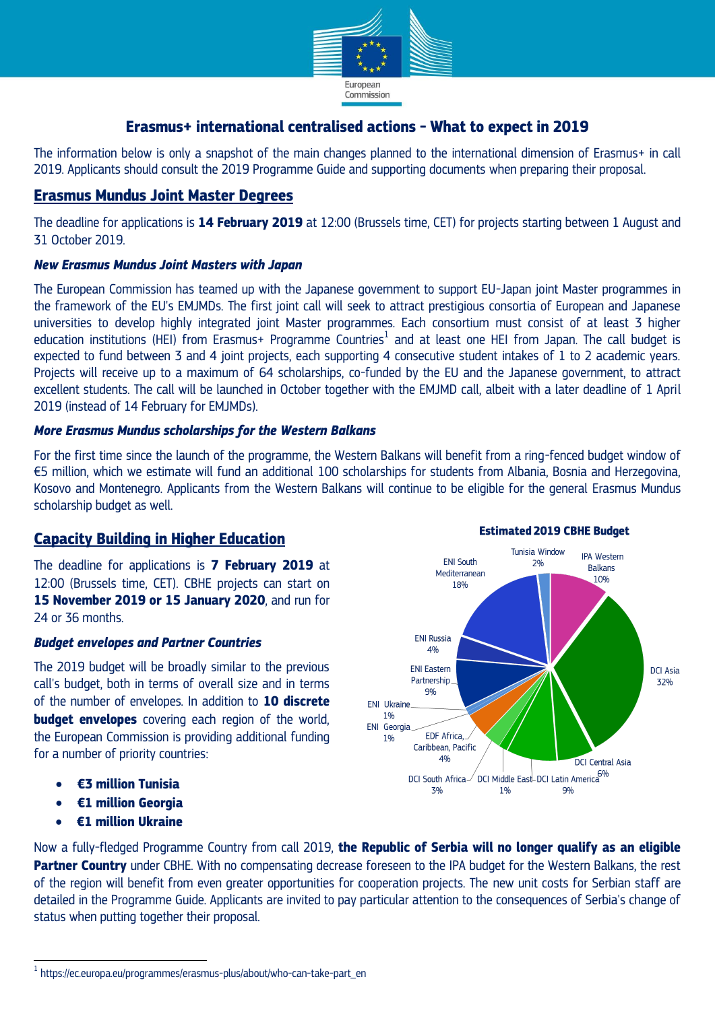

# **Erasmus+ international centralised actions - What to expect in 2019**

The information below is only a snapshot of the main changes planned to the international dimension of Erasmus+ in call 2019. Applicants should consult the 2019 Programme Guide and supporting documents when preparing their proposal.

### **Erasmus Mundus Joint Master Degrees**

The deadline for applications is **14 February 2019** at 12:00 (Brussels time, CET) for projects starting between 1 August and 31 October 2019.

### *New Erasmus Mundus Joint Masters with Japan*

The European Commission has teamed up with the Japanese government to support EU-Japan joint Master programmes in the framework of the EU's EMJMDs. The first joint call will seek to attract prestigious consortia of European and Japanese universities to develop highly integrated joint Master programmes. Each consortium must consist of at least 3 higher education institutions (HEI) from Erasmus+ Programme Countries<sup>1</sup> and at least one HEI from Japan. The call budget is expected to fund between 3 and 4 joint projects, each supporting 4 consecutive student intakes of 1 to 2 academic years. Projects will receive up to a maximum of 64 scholarships, co-funded by the EU and the Japanese government, to attract excellent students. The call will be launched in October together with the EMJMD call, albeit with a later deadline of 1 April 2019 (instead of 14 February for EMJMDs).

### *More Erasmus Mundus scholarships for the Western Balkans*

For the first time since the launch of the programme, the Western Balkans will benefit from a ring-fenced budget window of €5 million, which we estimate will fund an additional 100 scholarships for students from Albania, Bosnia and Herzegovina, Kosovo and Montenegro. Applicants from the Western Balkans will continue to be eligible for the general Erasmus Mundus scholarship budget as well.

# **Capacity Building in Higher Education**

The deadline for applications is **7 February 2019** at 12:00 (Brussels time, CET). CBHE projects can start on **15 November 2019 or 15 January 2020**, and run for 24 or 36 months.

#### *Budget envelopes and Partner Countries*

The 2019 budget will be broadly similar to the previous call's budget, both in terms of overall size and in terms of the number of envelopes. In addition to **10 discrete budget envelopes** covering each region of the world, the European Commission is providing additional funding for a number of priority countries:

- **€3 million Tunisia**
- **€1 million Georgia**
- **€1 million Ukraine**



Now a fully-fledged Programme Country from call 2019, **the Republic of Serbia will no longer qualify as an eligible Partner Country** under CBHE. With no compensating decrease foreseen to the IPA budget for the Western Balkans, the rest of the region will benefit from even greater opportunities for cooperation projects. The new unit costs for Serbian staff are detailed in the Programme Guide. Applicants are invited to pay particular attention to the consequences of Serbia's change of status when putting together their proposal.

 1 https://ec.europa.eu/programmes/erasmus-plus/about/who-can-take-part\_en